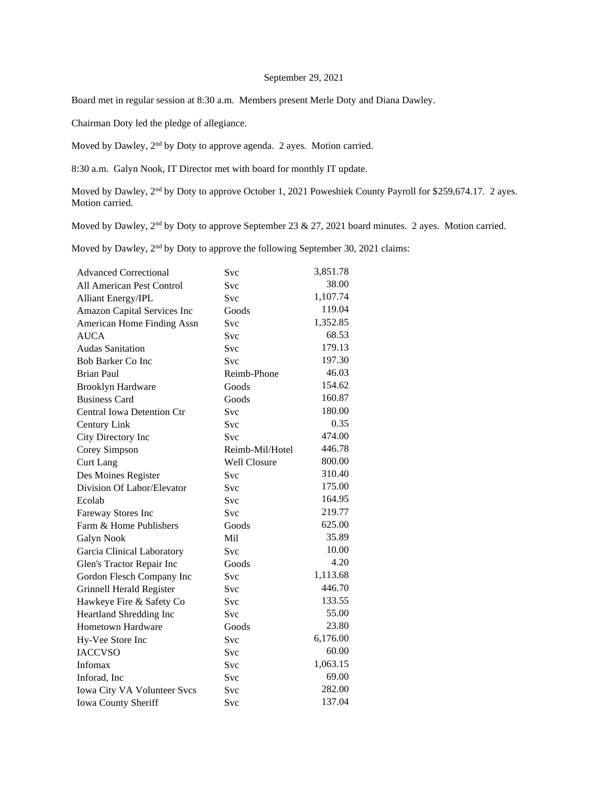## September 29, 2021

Board met in regular session at 8:30 a.m. Members present Merle Doty and Diana Dawley.

Chairman Doty led the pledge of allegiance.

Moved by Dawley, 2nd by Doty to approve agenda. 2 ayes. Motion carried.

8:30 a.m. Galyn Nook, IT Director met with board for monthly IT update.

Moved by Dawley, 2<sup>nd</sup> by Doty to approve October 1, 2021 Poweshiek County Payroll for \$259,674.17. 2 ayes. Motion carried.

Moved by Dawley, 2<sup>nd</sup> by Doty to approve September 23 & 27, 2021 board minutes. 2 ayes. Motion carried.

Moved by Dawley, 2<sup>nd</sup> by Doty to approve the following September 30, 2021 claims:

| <b>Advanced Correctional</b>      | Svc                 | 3,851.78 |
|-----------------------------------|---------------------|----------|
| All American Pest Control         | <b>Svc</b>          | 38.00    |
| <b>Alliant Energy/IPL</b>         | Svc                 | 1,107.74 |
| Amazon Capital Services Inc       | Goods               | 119.04   |
| American Home Finding Assn        | Svc                 | 1,352.85 |
| <b>AUCA</b>                       | <b>Svc</b>          | 68.53    |
| <b>Audas Sanitation</b>           | Svc                 | 179.13   |
| <b>Bob Barker Co Inc</b>          | Svc                 | 197.30   |
| <b>Brian Paul</b>                 | Reimb-Phone         | 46.03    |
| <b>Brooklyn Hardware</b>          | Goods               | 154.62   |
| <b>Business Card</b>              | Goods               | 160.87   |
| <b>Central Iowa Detention Ctr</b> | Svc                 | 180.00   |
| Century Link                      | Svc                 | 0.35     |
| City Directory Inc                | <b>Svc</b>          | 474.00   |
| Corey Simpson                     | Reimb-Mil/Hotel     | 446.78   |
| <b>Curt Lang</b>                  | <b>Well Closure</b> | 800.00   |
| Des Moines Register               | Svc                 | 310.40   |
| Division Of Labor/Elevator        | <b>Svc</b>          | 175.00   |
| Ecolab                            | <b>Svc</b>          | 164.95   |
| Fareway Stores Inc                | Svc                 | 219.77   |
| Farm & Home Publishers            | Goods               | 625.00   |
| Galyn Nook                        | Mil                 | 35.89    |
| Garcia Clinical Laboratory        | Svc                 | 10.00    |
| Glen's Tractor Repair Inc         | Goods               | 4.20     |
| Gordon Flesch Company Inc         | Svc                 | 1,113.68 |
| Grinnell Herald Register          | Svc                 | 446.70   |
| Hawkeye Fire & Safety Co          | Svc                 | 133.55   |
| Heartland Shredding Inc           | Svc                 | 55.00    |
| Hometown Hardware                 | Goods               | 23.80    |
| Hy-Vee Store Inc                  | Svc                 | 6,176.00 |
| <b>IACCVSO</b>                    | <b>Svc</b>          | 60.00    |
| Infomax                           | Svc                 | 1,063.15 |
| Inforad, Inc                      | Svc                 | 69.00    |
| Iowa City VA Volunteer Svcs       | Svc                 | 282.00   |
| Iowa County Sheriff               | Svc                 | 137.04   |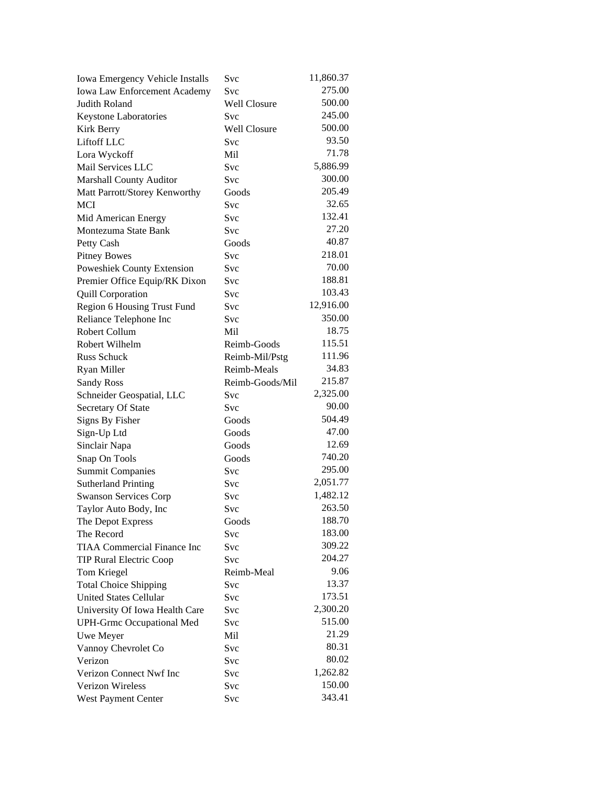| Iowa Emergency Vehicle Installs    | Svc             | 11,860.37 |
|------------------------------------|-----------------|-----------|
| Iowa Law Enforcement Academy       | Svc             | 275.00    |
| Judith Roland                      | Well Closure    | 500.00    |
| Keystone Laboratories              | Svc             | 245.00    |
| Kirk Berry                         | Well Closure    | 500.00    |
| Liftoff LLC                        | Svc             | 93.50     |
| Lora Wyckoff                       | Mil             | 71.78     |
| Mail Services LLC                  | Svc             | 5,886.99  |
| <b>Marshall County Auditor</b>     | Svc             | 300.00    |
| Matt Parrott/Storey Kenworthy      | Goods           | 205.49    |
| <b>MCI</b>                         | Svc             | 32.65     |
| Mid American Energy                | Svc             | 132.41    |
| Montezuma State Bank               | Svc             | 27.20     |
| Petty Cash                         | Goods           | 40.87     |
| <b>Pitney Bowes</b>                | Svc             | 218.01    |
| Poweshiek County Extension         | Svc             | 70.00     |
| Premier Office Equip/RK Dixon      | Svc             | 188.81    |
| <b>Quill Corporation</b>           | Svc             | 103.43    |
| Region 6 Housing Trust Fund        | Svc             | 12,916.00 |
| Reliance Telephone Inc             | <b>Svc</b>      | 350.00    |
| Robert Collum                      | Mil             | 18.75     |
| Robert Wilhelm                     | Reimb-Goods     | 115.51    |
| <b>Russ Schuck</b>                 | Reimb-Mil/Pstg  | 111.96    |
| Ryan Miller                        | Reimb-Meals     | 34.83     |
| <b>Sandy Ross</b>                  | Reimb-Goods/Mil | 215.87    |
| Schneider Geospatial, LLC          | Svc             | 2,325.00  |
| Secretary Of State                 | Svc             | 90.00     |
| <b>Signs By Fisher</b>             | Goods           | 504.49    |
| Sign-Up Ltd                        | Goods           | 47.00     |
| Sinclair Napa                      | Goods           | 12.69     |
| Snap On Tools                      | Goods           | 740.20    |
| <b>Summit Companies</b>            | Svc             | 295.00    |
| <b>Sutherland Printing</b>         | Svc             | 2,051.77  |
| <b>Swanson Services Corp</b>       | Svc             | 1,482.12  |
| Taylor Auto Body, Inc              | Svc             | 263.50    |
| The Depot Express                  | Goods           | 188.70    |
| The Record                         | Svc             | 183.00    |
| <b>TIAA Commercial Finance Inc</b> | Svc             | 309.22    |
| <b>TIP Rural Electric Coop</b>     | Svc             | 204.27    |
| Tom Kriegel                        | Reimb-Meal      | 9.06      |
| <b>Total Choice Shipping</b>       | Svc             | 13.37     |
| <b>United States Cellular</b>      | <b>Svc</b>      | 173.51    |
| University Of Iowa Health Care     | Svc             | 2,300.20  |
| <b>UPH-Grmc Occupational Med</b>   | Svc             | 515.00    |
|                                    | Mil             | 21.29     |
| Uwe Meyer                          |                 | 80.31     |
| Vannoy Chevrolet Co<br>Verizon     | Svc             | 80.02     |
| Verizon Connect Nwf Inc            | Svc             | 1,262.82  |
| Verizon Wireless                   | Svc             | 150.00    |
|                                    | Svc             | 343.41    |
| West Payment Center                | Svc             |           |